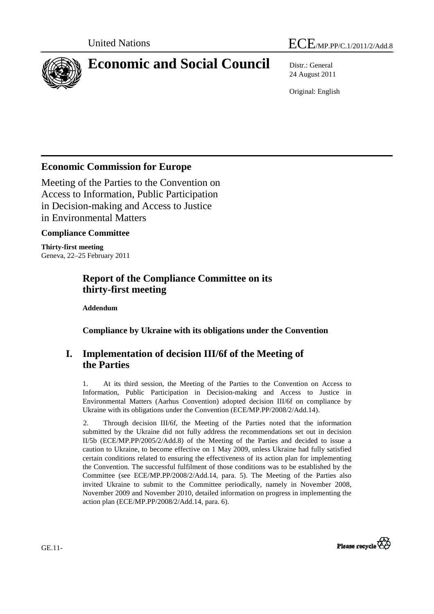



# **Economic and Social Council** Distr.: General

24 August 2011

Original: English

## **Economic Commission for Europe**

Meeting of the Parties to the Convention on Access to Information, Public Participation in Decision-making and Access to Justice in Environmental Matters

#### **Compliance Committee**

**Thirty-first meeting**  Geneva, 22–25 February 2011

### **Report of the Compliance Committee on its thirty-first meeting**

 **Addendum** 

 **Compliance by Ukraine with its obligations under the Convention** 

## **I. Implementation of decision III/6f of the Meeting of the Parties**

1. At its third session, the Meeting of the Parties to the Convention on Access to Information, Public Participation in Decision-making and Access to Justice in Environmental Matters (Aarhus Convention) adopted decision III/6f on compliance by Ukraine with its obligations under the Convention (ECE/MP.PP/2008/2/Add.14).

2. Through decision III/6f, the Meeting of the Parties noted that the information submitted by the Ukraine did not fully address the recommendations set out in decision II/5b (ECE/MP.PP/2005/2/Add.8) of the Meeting of the Parties and decided to issue a caution to Ukraine, to become effective on 1 May 2009, unless Ukraine had fully satisfied certain conditions related to ensuring the effectiveness of its action plan for implementing the Convention. The successful fulfilment of those conditions was to be established by the Committee (see ECE/MP.PP/2008/2/Add.14, para. 5). The Meeting of the Parties also invited Ukraine to submit to the Committee periodically, namely in November 2008, November 2009 and November 2010, detailed information on progress in implementing the action plan (ECE/MP.PP/2008/2/Add.14, para. 6).



GE.11-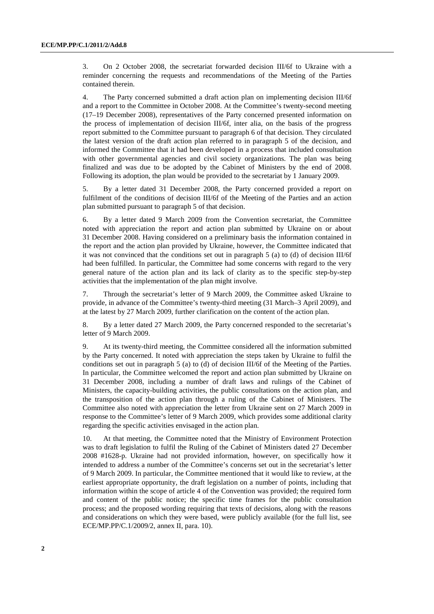3. On 2 October 2008, the secretariat forwarded decision III/6f to Ukraine with a reminder concerning the requests and recommendations of the Meeting of the Parties contained therein.

4. The Party concerned submitted a draft action plan on implementing decision III/6f and a report to the Committee in October 2008. At the Committee's twenty-second meeting (17–19 December 2008), representatives of the Party concerned presented information on the process of implementation of decision III/6f, inter alia, on the basis of the progress report submitted to the Committee pursuant to paragraph 6 of that decision. They circulated the latest version of the draft action plan referred to in paragraph 5 of the decision, and informed the Committee that it had been developed in a process that included consultation with other governmental agencies and civil society organizations. The plan was being finalized and was due to be adopted by the Cabinet of Ministers by the end of 2008. Following its adoption, the plan would be provided to the secretariat by 1 January 2009.

5. By a letter dated 31 December 2008, the Party concerned provided a report on fulfilment of the conditions of decision III/6f of the Meeting of the Parties and an action plan submitted pursuant to paragraph 5 of that decision.

6. By a letter dated 9 March 2009 from the Convention secretariat, the Committee noted with appreciation the report and action plan submitted by Ukraine on or about 31 December 2008. Having considered on a preliminary basis the information contained in the report and the action plan provided by Ukraine, however, the Committee indicated that it was not convinced that the conditions set out in paragraph  $5$  (a) to (d) of decision III/6f had been fulfilled. In particular, the Committee had some concerns with regard to the very general nature of the action plan and its lack of clarity as to the specific step-by-step activities that the implementation of the plan might involve.

7. Through the secretariat's letter of 9 March 2009, the Committee asked Ukraine to provide, in advance of the Committee's twenty-third meeting (31 March–3 April 2009), and at the latest by 27 March 2009, further clarification on the content of the action plan.

8. By a letter dated 27 March 2009, the Party concerned responded to the secretariat's letter of 9 March 2009.

9. At its twenty-third meeting, the Committee considered all the information submitted by the Party concerned. It noted with appreciation the steps taken by Ukraine to fulfil the conditions set out in paragraph 5 (a) to (d) of decision III/6f of the Meeting of the Parties. In particular, the Committee welcomed the report and action plan submitted by Ukraine on 31 December 2008, including a number of draft laws and rulings of the Cabinet of Ministers, the capacity-building activities, the public consultations on the action plan, and the transposition of the action plan through a ruling of the Cabinet of Ministers. The Committee also noted with appreciation the letter from Ukraine sent on 27 March 2009 in response to the Committee's letter of 9 March 2009, which provides some additional clarity regarding the specific activities envisaged in the action plan.

10. At that meeting, the Committee noted that the Ministry of Environment Protection was to draft legislation to fulfil the Ruling of the Cabinet of Ministers dated 27 December 2008 #1628-p. Ukraine had not provided information, however, on specifically how it intended to address a number of the Committee's concerns set out in the secretariat's letter of 9 March 2009. In particular, the Committee mentioned that it would like to review, at the earliest appropriate opportunity, the draft legislation on a number of points, including that information within the scope of article 4 of the Convention was provided; the required form and content of the public notice; the specific time frames for the public consultation process; and the proposed wording requiring that texts of decisions, along with the reasons and considerations on which they were based, were publicly available (for the full list, see ECE/MP.PP/C.1/2009/2, annex II, para. 10).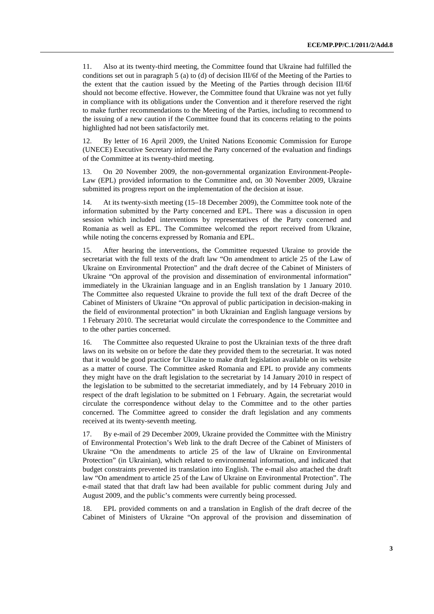11. Also at its twenty-third meeting, the Committee found that Ukraine had fulfilled the conditions set out in paragraph 5 (a) to (d) of decision III/6f of the Meeting of the Parties to the extent that the caution issued by the Meeting of the Parties through decision III/6f should not become effective. However, the Committee found that Ukraine was not yet fully in compliance with its obligations under the Convention and it therefore reserved the right to make further recommendations to the Meeting of the Parties, including to recommend to the issuing of a new caution if the Committee found that its concerns relating to the points highlighted had not been satisfactorily met.

12. By letter of 16 April 2009, the United Nations Economic Commission for Europe (UNECE) Executive Secretary informed the Party concerned of the evaluation and findings of the Committee at its twenty-third meeting.

13. On 20 November 2009, the non-governmental organization Environment-People-Law (EPL) provided information to the Committee and, on 30 November 2009, Ukraine submitted its progress report on the implementation of the decision at issue.

14. At its twenty-sixth meeting (15–18 December 2009), the Committee took note of the information submitted by the Party concerned and EPL. There was a discussion in open session which included interventions by representatives of the Party concerned and Romania as well as EPL. The Committee welcomed the report received from Ukraine, while noting the concerns expressed by Romania and EPL.

15. After hearing the interventions, the Committee requested Ukraine to provide the secretariat with the full texts of the draft law "On amendment to article 25 of the Law of Ukraine on Environmental Protection" and the draft decree of the Cabinet of Ministers of Ukraine "On approval of the provision and dissemination of environmental information" immediately in the Ukrainian language and in an English translation by 1 January 2010. The Committee also requested Ukraine to provide the full text of the draft Decree of the Cabinet of Ministers of Ukraine "On approval of public participation in decision-making in the field of environmental protection" in both Ukrainian and English language versions by 1 February 2010. The secretariat would circulate the correspondence to the Committee and to the other parties concerned.

16. The Committee also requested Ukraine to post the Ukrainian texts of the three draft laws on its website on or before the date they provided them to the secretariat. It was noted that it would be good practice for Ukraine to make draft legislation available on its website as a matter of course. The Committee asked Romania and EPL to provide any comments they might have on the draft legislation to the secretariat by 14 January 2010 in respect of the legislation to be submitted to the secretariat immediately, and by 14 February 2010 in respect of the draft legislation to be submitted on 1 February. Again, the secretariat would circulate the correspondence without delay to the Committee and to the other parties concerned. The Committee agreed to consider the draft legislation and any comments received at its twenty-seventh meeting.

17. By e-mail of 29 December 2009, Ukraine provided the Committee with the Ministry of Environmental Protection's Web link to the draft Decree of the Cabinet of Ministers of Ukraine "On the amendments to article 25 of the law of Ukraine on Environmental Protection" (in Ukrainian), which related to environmental information, and indicated that budget constraints prevented its translation into English. The e-mail also attached the draft law "On amendment to article 25 of the Law of Ukraine on Environmental Protection". The e-mail stated that that draft law had been available for public comment during July and August 2009, and the public's comments were currently being processed.

18. EPL provided comments on and a translation in English of the draft decree of the Cabinet of Ministers of Ukraine "On approval of the provision and dissemination of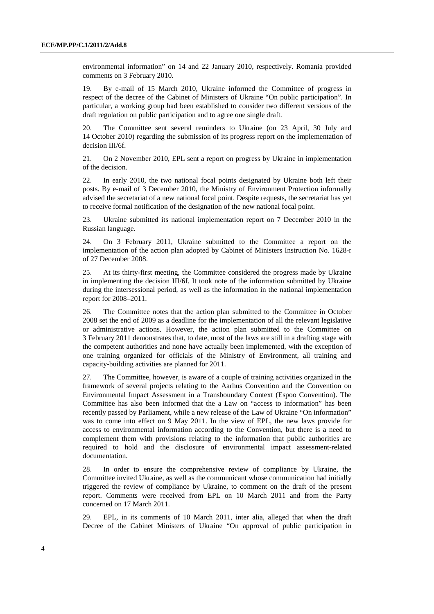environmental information" on 14 and 22 January 2010, respectively. Romania provided comments on 3 February 2010.

19. By e-mail of 15 March 2010, Ukraine informed the Committee of progress in respect of the decree of the Cabinet of Ministers of Ukraine "On public participation". In particular, a working group had been established to consider two different versions of the draft regulation on public participation and to agree one single draft.

20. The Committee sent several reminders to Ukraine (on 23 April, 30 July and 14 October 2010) regarding the submission of its progress report on the implementation of decision III/6f.

21. On 2 November 2010, EPL sent a report on progress by Ukraine in implementation of the decision.

22. In early 2010, the two national focal points designated by Ukraine both left their posts. By e-mail of 3 December 2010, the Ministry of Environment Protection informally advised the secretariat of a new national focal point. Despite requests, the secretariat has yet to receive formal notification of the designation of the new national focal point.

23. Ukraine submitted its national implementation report on 7 December 2010 in the Russian language.

24. On 3 February 2011, Ukraine submitted to the Committee a report on the implementation of the action plan adopted by Cabinet of Ministers Instruction No. 1628-r of 27 December 2008.

25. At its thirty-first meeting, the Committee considered the progress made by Ukraine in implementing the decision III/6f. It took note of the information submitted by Ukraine during the intersessional period, as well as the information in the national implementation report for 2008–2011.

26. The Committee notes that the action plan submitted to the Committee in October 2008 set the end of 2009 as a deadline for the implementation of all the relevant legislative or administrative actions. However, the action plan submitted to the Committee on 3 February 2011 demonstrates that, to date, most of the laws are still in a drafting stage with the competent authorities and none have actually been implemented, with the exception of one training organized for officials of the Ministry of Environment, all training and capacity-building activities are planned for 2011.

27. The Committee, however, is aware of a couple of training activities organized in the framework of several projects relating to the Aarhus Convention and the Convention on Environmental Impact Assessment in a Transboundary Context (Espoo Convention). The Committee has also been informed that the a Law on "access to information" has been recently passed by Parliament, while a new release of the Law of Ukraine "On information" was to come into effect on 9 May 2011. In the view of EPL, the new laws provide for access to environmental information according to the Convention, but there is a need to complement them with provisions relating to the information that public authorities are required to hold and the disclosure of environmental impact assessment-related documentation.

28. In order to ensure the comprehensive review of compliance by Ukraine, the Committee invited Ukraine, as well as the communicant whose communication had initially triggered the review of compliance by Ukraine, to comment on the draft of the present report. Comments were received from EPL on 10 March 2011 and from the Party concerned on 17 March 2011.

29. EPL, in its comments of 10 March 2011, inter alia, alleged that when the draft Decree of the Cabinet Ministers of Ukraine "On approval of public participation in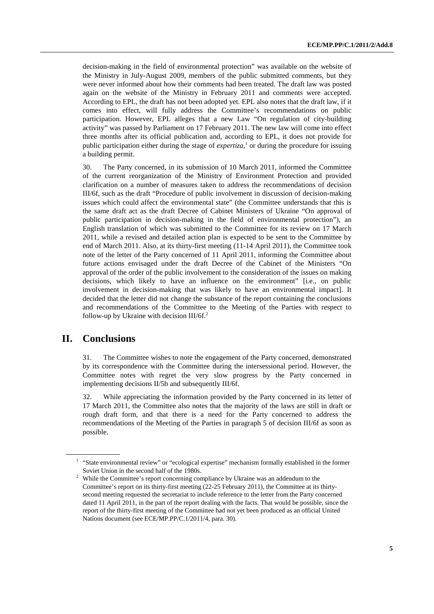decision-making in the field of environmental protection" was available on the website of the Ministry in July-August 2009, members of the public submitted comments, but they were never informed about how their comments had been treated. The draft law was posted again on the website of the Ministry in February 2011 and comments were accepted. According to EPL, the draft has not been adopted yet. EPL also notes that the draft law, if it comes into effect, will fully address the Committee's recommendations on public participation. However, EPL alleges that a new Law "On regulation of city-building activity" was passed by Parliament on 17 February 2011. The new law will come into effect three months after its official publication and, according to EPL, it does not provide for public participation either during the stage of  $\ell$ *expertiza*,<sup>1</sup> or during the procedure for issuing a building permit.

30. The Party concerned, in its submission of 10 March 2011, informed the Committee of the current reorganization of the Ministry of Environment Protection and provided clarification on a number of measures taken to address the recommendations of decision III/6f, such as the draft "Procedure of public involvement in discussion of decision-making issues which could affect the environmental state" (the Committee understands that this is the same draft act as the draft Decree of Cabinet Ministers of Ukraine "On approval of public participation in decision-making in the field of environmental protection"), an English translation of which was submitted to the Committee for its review on 17 March 2011, while a revised and detailed action plan is expected to be sent to the Committee by end of March 2011. Also, at its thirty-first meeting (11-14 April 2011), the Committee took note of the letter of the Party concerned of 11 April 2011, informing the Committee about future actions envisaged under the draft Decree of the Cabinet of the Ministers "On approval of the order of the public involvement to the consideration of the issues on making decisions, which likely to have an influence on the environment" [i.e., on public involvement in decision-making that was likely to have an environmental impact]. It decided that the letter did not change the substance of the report containing the conclusions and recommendations of the Committee to the Meeting of the Parties with respect to follow-up by Ukraine with decision  $III/6f<sup>2</sup>$ .

#### **II. Conclusions**

31. The Committee wishes to note the engagement of the Party concerned, demonstrated by its correspondence with the Committee during the intersessional period. However, the Committee notes with regret the very slow progress by the Party concerned in implementing decisions II/5b and subsequently III/6f.

32. While appreciating the information provided by the Party concerned in its letter of 17 March 2011, the Committee also notes that the majority of the laws are still in draft or rough draft form, and that there is a need for the Party concerned to address the recommendations of the Meeting of the Parties in paragraph 5 of decision III/6f as soon as possible.

<sup>&</sup>lt;sup>1</sup> "State environmental review" or "ecological expertise" mechanism formally established in the former Soviet Union in the second half of the 1980s.

 $2$  While the Committee's report concerning compliance by Ukraine was an addendum to the Committee's report on its thirty-first meeting (22-25 February 2011), the Committee at its thirtysecond meeting requested the secretariat to include reference to the letter from the Party concerned dated 11 April 2011, in the part of the report dealing with the facts. That would be possible, since the report of the thirty-first meeting of the Committee had not yet been produced as an official United Nations document (see ECE/MP.PP/C.1/2011/4, para. 30).